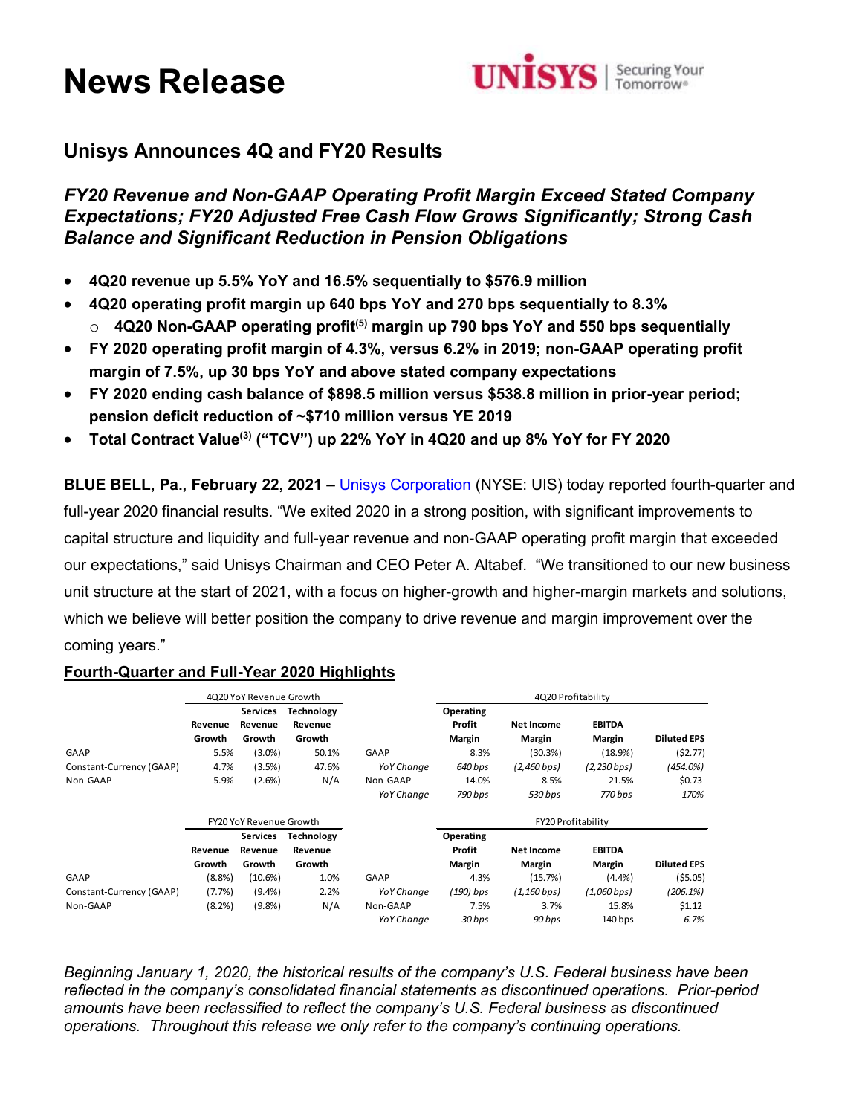# **News Release**



## **Unisys Announces 4Q and FY20 Results**

*FY20 Revenue and Non-GAAP Operating Profit Margin Exceed Stated Company Expectations; FY20 Adjusted Free Cash Flow Grows Significantly; Strong Cash Balance and Significant Reduction in Pension Obligations* 

- **4Q20 revenue up 5.5% YoY and 16.5% sequentially to \$576.9 million**
- **4Q20 operating profit margin up 640 bps YoY and 270 bps sequentially to 8.3%** o **4Q20 Non-GAAP operating profit(5) margin up 790 bps YoY and 550 bps sequentially**
- **FY 2020 operating profit margin of 4.3%, versus 6.2% in 2019; non-GAAP operating profit margin of 7.5%, up 30 bps YoY and above stated company expectations**
- **FY 2020 ending cash balance of \$898.5 million versus \$538.8 million in prior-year period; pension deficit reduction of ~\$710 million versus YE 2019**
- **Total Contract Value(3) ("TCV") up 22% YoY in 4Q20 and up 8% YoY for FY 2020**

**BLUE BELL, Pa., February 22, 2021** – [Unisys Corporation](http://www.unisys.com/) (NYSE: UIS) today reported fourth-quarter and full-year 2020 financial results. "We exited 2020 in a strong position, with significant improvements to capital structure and liquidity and full-year revenue and non-GAAP operating profit margin that exceeded our expectations," said Unisys Chairman and CEO Peter A. Altabef. "We transitioned to our new business unit structure at the start of 2021, with a focus on higher-growth and higher-margin markets and solutions, which we believe will better position the company to drive revenue and margin improvement over the coming years."

## **Fourth-Quarter and Full-Year 2020 Highlights**

|                          |           | 4Q20 YoY Revenue Growth        |                   |             |             |                          | 4Q20 Profitability |                    |
|--------------------------|-----------|--------------------------------|-------------------|-------------|-------------|--------------------------|--------------------|--------------------|
|                          |           | Services                       | Technology        |             | Operating   |                          |                    |                    |
|                          | Revenue   | Revenue                        | Revenue           |             | Profit      | <b>Net Income</b>        | <b>EBITDA</b>      |                    |
|                          | Growth    | Growth                         | Growth            |             | Margin      | Margin                   | Margin             | <b>Diluted EPS</b> |
| GAAP                     | 5.5%      | $(3.0\%)$                      | 50.1%             | <b>GAAP</b> | 8.3%        | (30.3%)                  | (18.9%)            | (52.77)            |
| Constant-Currency (GAAP) | 4.7%      | (3.5%)                         | 47.6%             | YoY Change  | 640 bps     | $(2,460$ bps)            | $(2,230$ bps $)$   | $(454.0\%)$        |
| Non-GAAP                 | 5.9%      | (2.6%)                         | N/A               | Non-GAAP    | 14.0%       | 8.5%                     | 21.5%              | \$0.73             |
|                          |           |                                |                   | YoY Change  | 790 bps     | 530 bps                  | 770 bps            | 170%               |
|                          |           | <b>FY20 YoY Revenue Growth</b> |                   |             |             | FY20 Profitability       |                    |                    |
|                          |           | <b>Services</b>                | <b>Technology</b> |             | Operating   |                          |                    |                    |
|                          | Revenue   | Revenue                        | Revenue           |             | Profit      | <b>Net Income</b>        | <b>EBITDA</b>      |                    |
|                          | Growth    | Growth                         | Growth            |             | Margin      | Margin                   | Margin             | <b>Diluted EPS</b> |
| GAAP                     | (8.8%)    | $(10.6\%)$                     | 1.0%              | GAAP        | 4.3%        | (15.7%)                  | $(4.4\%)$          | (55.05)            |
| Constant-Currency (GAAP) | $(7.7\%)$ | $(9.4\%)$                      | 2.2%              | YoY Change  | $(190)$ bps | $(1, 160 \, \text{bps})$ | $(1,060$ bps)      | (206.1%)           |
| Non-GAAP                 | (8.2%)    | (9.8% )                        | N/A               | Non-GAAP    | 7.5%        | 3.7%                     | 15.8%              | \$1.12             |
|                          |           |                                |                   | YoY Change  | 30 bps      | 90 bps                   | $140$ bps          | 6.7%               |

*Beginning January 1, 2020, the historical results of the company's U.S. Federal business have been reflected in the company's consolidated financial statements as discontinued operations. Prior-period amounts have been reclassified to reflect the company's U.S. Federal business as discontinued operations. Throughout this release we only refer to the company's continuing operations.*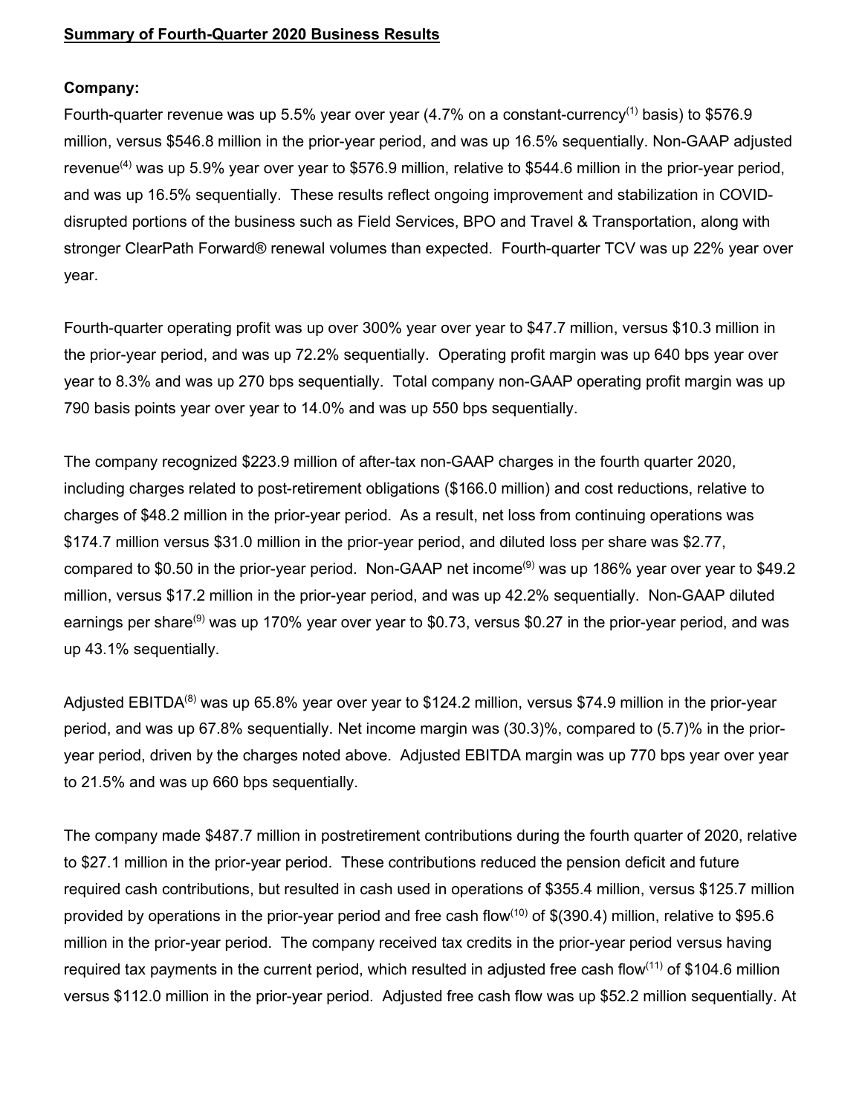## **Summary of Fourth-Quarter 2020 Business Results**

#### **Company:**

Fourth-quarter revenue was up 5.5% year over year  $(4.7\%$  on a constant-currency<sup>(1)</sup> basis) to \$576.9 million, versus \$546.8 million in the prior-year period, and was up 16.5% sequentially. Non-GAAP adjusted revenue<sup>(4)</sup> was up 5.9% year over year to \$576.9 million, relative to \$544.6 million in the prior-year period, and was up 16.5% sequentially. These results reflect ongoing improvement and stabilization in COVIDdisrupted portions of the business such as Field Services, BPO and Travel & Transportation, along with stronger ClearPath Forward® renewal volumes than expected. Fourth-quarter TCV was up 22% year over year.

Fourth-quarter operating profit was up over 300% year over year to \$47.7 million, versus \$10.3 million in the prior-year period, and was up 72.2% sequentially. Operating profit margin was up 640 bps year over year to 8.3% and was up 270 bps sequentially. Total company non-GAAP operating profit margin was up 790 basis points year over year to 14.0% and was up 550 bps sequentially.

The company recognized \$223.9 million of after-tax non-GAAP charges in the fourth quarter 2020, including charges related to post-retirement obligations (\$166.0 million) and cost reductions, relative to charges of \$48.2 million in the prior-year period. As a result, net loss from continuing operations was \$174.7 million versus \$31.0 million in the prior-year period, and diluted loss per share was \$2.77, compared to \$0.50 in the prior-year period. Non-GAAP net income(9) was up 186% year over year to \$49.2 million, versus \$17.2 million in the prior-year period, and was up 42.2% sequentially. Non-GAAP diluted earnings per share<sup>(9)</sup> was up 170% year over year to \$0.73, versus \$0.27 in the prior-year period, and was up 43.1% sequentially.

Adjusted EBITDA<sup>(8)</sup> was up 65.8% year over year to \$124.2 million, versus \$74.9 million in the prior-year period, and was up 67.8% sequentially. Net income margin was (30.3)%, compared to (5.7)% in the prioryear period, driven by the charges noted above. Adjusted EBITDA margin was up 770 bps year over year to 21.5% and was up 660 bps sequentially.

The company made \$487.7 million in postretirement contributions during the fourth quarter of 2020, relative to \$27.1 million in the prior-year period. These contributions reduced the pension deficit and future required cash contributions, but resulted in cash used in operations of \$355.4 million, versus \$125.7 million provided by operations in the prior-year period and free cash flow<sup>(10)</sup> of \$(390.4) million, relative to \$95.6 million in the prior-year period. The company received tax credits in the prior-year period versus having required tax payments in the current period, which resulted in adjusted free cash flow<sup>(11)</sup> of \$104.6 million versus \$112.0 million in the prior-year period. Adjusted free cash flow was up \$52.2 million sequentially. At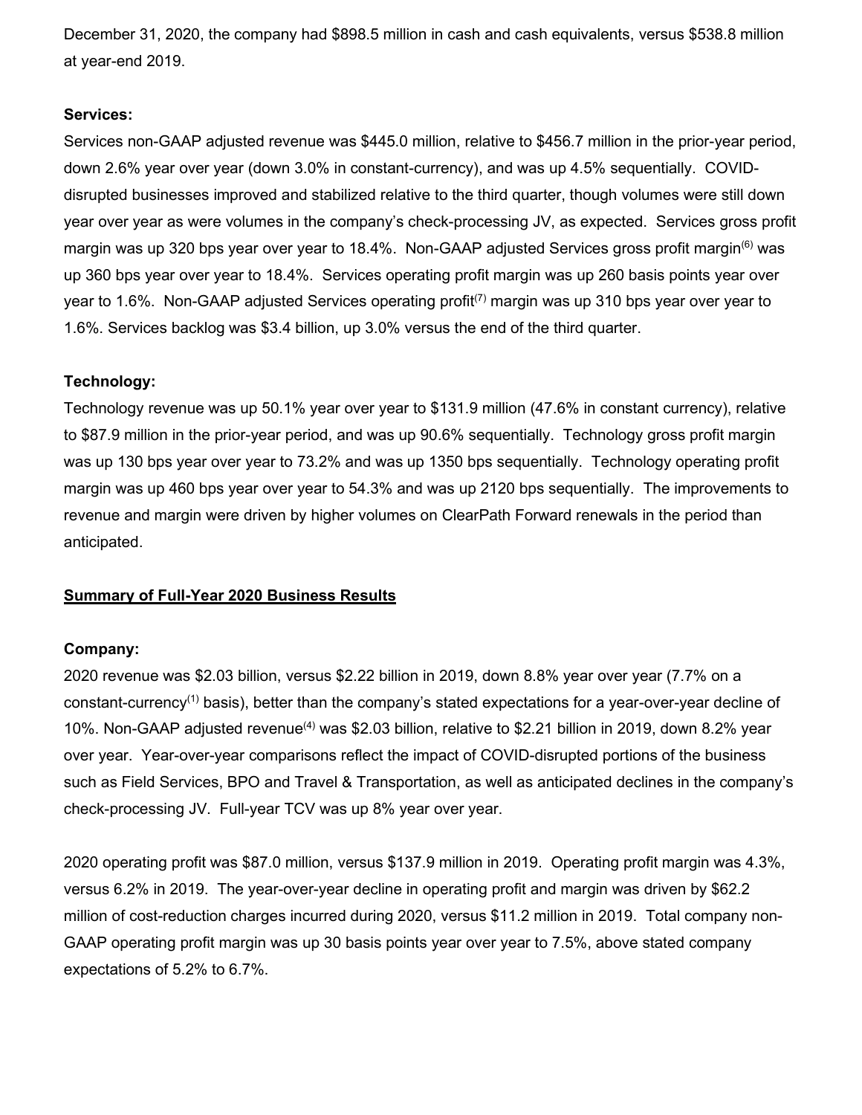December 31, 2020, the company had \$898.5 million in cash and cash equivalents, versus \$538.8 million at year-end 2019.

## **Services:**

Services non-GAAP adjusted revenue was \$445.0 million, relative to \$456.7 million in the prior-year period, down 2.6% year over year (down 3.0% in constant-currency), and was up 4.5% sequentially. COVIDdisrupted businesses improved and stabilized relative to the third quarter, though volumes were still down year over year as were volumes in the company's check-processing JV, as expected. Services gross profit margin was up 320 bps year over year to 18.4%. Non-GAAP adjusted Services gross profit margin<sup>(6)</sup> was up 360 bps year over year to 18.4%. Services operating profit margin was up 260 basis points year over year to 1.6%. Non-GAAP adjusted Services operating profit<sup>(7)</sup> margin was up 310 bps year over year to 1.6%. Services backlog was \$3.4 billion, up 3.0% versus the end of the third quarter.

## **Technology:**

Technology revenue was up 50.1% year over year to \$131.9 million (47.6% in constant currency), relative to \$87.9 million in the prior-year period, and was up 90.6% sequentially. Technology gross profit margin was up 130 bps year over year to 73.2% and was up 1350 bps sequentially. Technology operating profit margin was up 460 bps year over year to 54.3% and was up 2120 bps sequentially. The improvements to revenue and margin were driven by higher volumes on ClearPath Forward renewals in the period than anticipated.

## **Summary of Full-Year 2020 Business Results**

#### **Company:**

2020 revenue was \$2.03 billion, versus \$2.22 billion in 2019, down 8.8% year over year (7.7% on a constant-currency<sup>(1)</sup> basis), better than the company's stated expectations for a year-over-year decline of 10%. Non-GAAP adjusted revenue<sup>(4)</sup> was \$2.03 billion, relative to \$2.21 billion in 2019, down 8.2% year over year. Year-over-year comparisons reflect the impact of COVID-disrupted portions of the business such as Field Services, BPO and Travel & Transportation, as well as anticipated declines in the company's check-processing JV. Full-year TCV was up 8% year over year.

2020 operating profit was \$87.0 million, versus \$137.9 million in 2019. Operating profit margin was 4.3%, versus 6.2% in 2019. The year-over-year decline in operating profit and margin was driven by \$62.2 million of cost-reduction charges incurred during 2020, versus \$11.2 million in 2019. Total company non-GAAP operating profit margin was up 30 basis points year over year to 7.5%, above stated company expectations of 5.2% to 6.7%.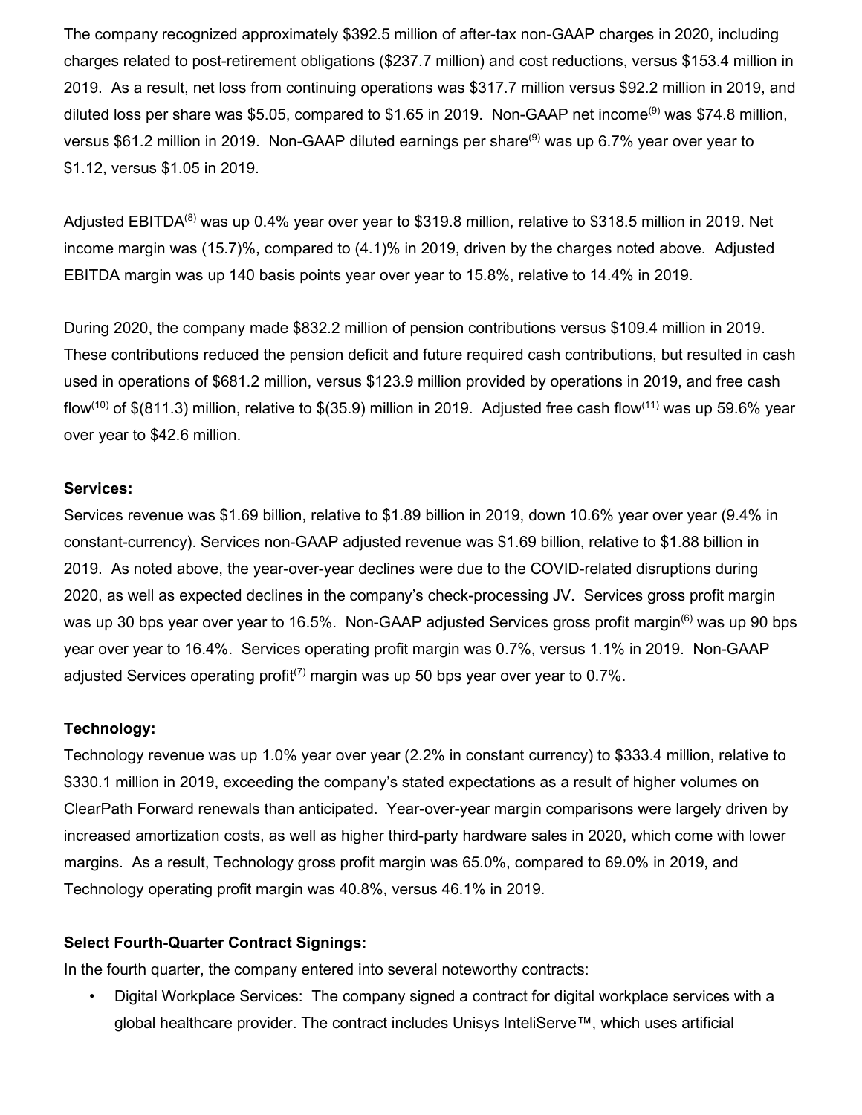The company recognized approximately \$392.5 million of after-tax non-GAAP charges in 2020, including charges related to post-retirement obligations (\$237.7 million) and cost reductions, versus \$153.4 million in 2019. As a result, net loss from continuing operations was \$317.7 million versus \$92.2 million in 2019, and diluted loss per share was \$5.05, compared to \$1.65 in 2019. Non-GAAP net income<sup>(9)</sup> was \$74.8 million, versus \$61.2 million in 2019. Non-GAAP diluted earnings per share(9) was up 6.7% year over year to \$1.12, versus \$1.05 in 2019.

Adjusted EBITDA<sup>(8)</sup> was up 0.4% year over year to \$319.8 million, relative to \$318.5 million in 2019. Net income margin was (15.7)%, compared to (4.1)% in 2019, driven by the charges noted above. Adjusted EBITDA margin was up 140 basis points year over year to 15.8%, relative to 14.4% in 2019.

During 2020, the company made \$832.2 million of pension contributions versus \$109.4 million in 2019. These contributions reduced the pension deficit and future required cash contributions, but resulted in cash used in operations of \$681.2 million, versus \$123.9 million provided by operations in 2019, and free cash flow<sup>(10)</sup> of \$(811.3) million, relative to \$(35.9) million in 2019. Adjusted free cash flow<sup>(11)</sup> was up 59.6% year over year to \$42.6 million.

## **Services:**

Services revenue was \$1.69 billion, relative to \$1.89 billion in 2019, down 10.6% year over year (9.4% in constant-currency). Services non-GAAP adjusted revenue was \$1.69 billion, relative to \$1.88 billion in 2019. As noted above, the year-over-year declines were due to the COVID-related disruptions during 2020, as well as expected declines in the company's check-processing JV. Services gross profit margin was up 30 bps year over year to 16.5%. Non-GAAP adjusted Services gross profit margin<sup>(6)</sup> was up 90 bps year over year to 16.4%. Services operating profit margin was 0.7%, versus 1.1% in 2019. Non-GAAP adjusted Services operating profit<sup>(7)</sup> margin was up 50 bps year over year to 0.7%.

## **Technology:**

Technology revenue was up 1.0% year over year (2.2% in constant currency) to \$333.4 million, relative to \$330.1 million in 2019, exceeding the company's stated expectations as a result of higher volumes on ClearPath Forward renewals than anticipated. Year-over-year margin comparisons were largely driven by increased amortization costs, as well as higher third-party hardware sales in 2020, which come with lower margins. As a result, Technology gross profit margin was 65.0%, compared to 69.0% in 2019, and Technology operating profit margin was 40.8%, versus 46.1% in 2019.

## **Select Fourth-Quarter Contract Signings:**

In the fourth quarter, the company entered into several noteworthy contracts:

• Digital Workplace Services: The company signed a contract for digital workplace services with a global healthcare provider. The contract includes Unisys InteliServe™, which uses artificial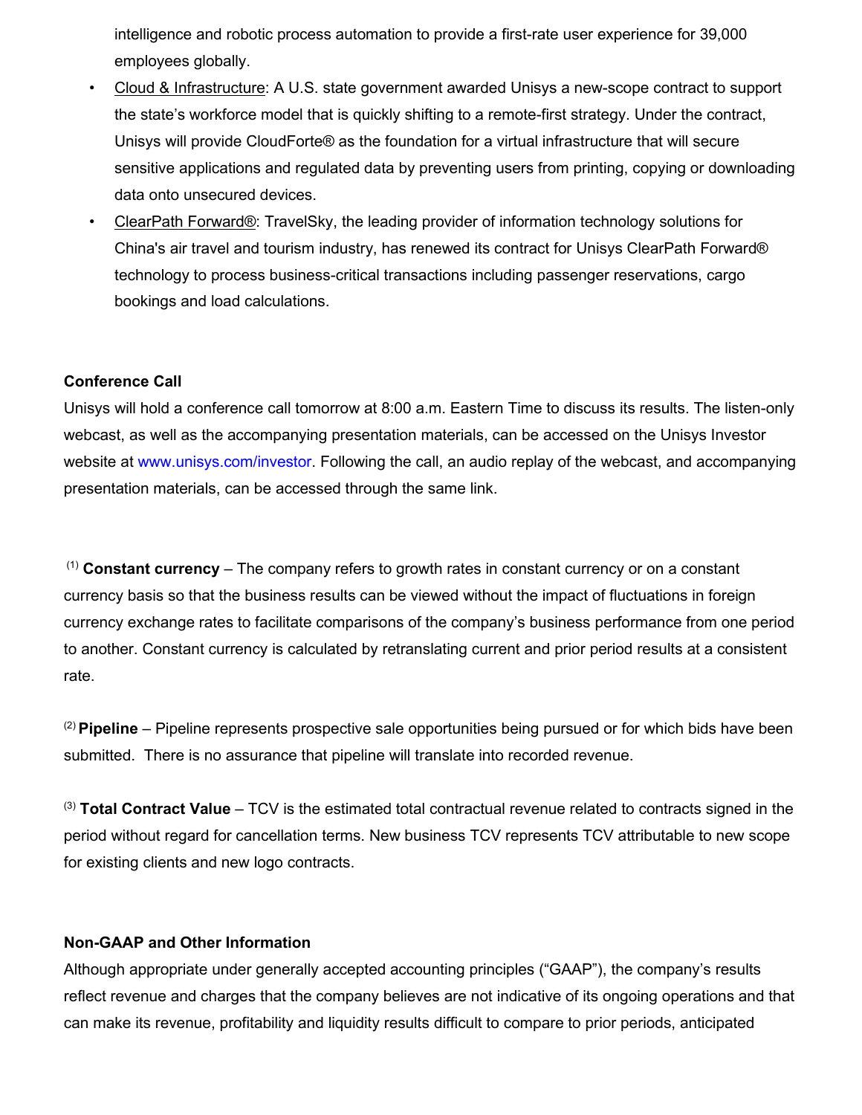intelligence and robotic process automation to provide a first-rate user experience for 39,000 employees globally.

- Cloud & Infrastructure: A U.S. state government awarded Unisys a new-scope contract to support the state's workforce model that is quickly shifting to a remote-first strategy. Under the contract, Unisys will provide CloudForte® as the foundation for a virtual infrastructure that will secure sensitive applications and regulated data by preventing users from printing, copying or downloading data onto unsecured devices.
- ClearPath Forward®: TravelSky, the leading provider of information technology solutions for China's air travel and tourism industry, has renewed its contract for Unisys ClearPath Forward® technology to process business-critical transactions including passenger reservations, cargo bookings and load calculations.

## **Conference Call**

Unisys will hold a conference call tomorrow at 8:00 a.m. Eastern Time to discuss its results. The listen-only webcast, as well as the accompanying presentation materials, can be accessed on the Unisys Investor website at [www.unisys.com/investor.](http://www.unisys.com/investor) Following the call, an audio replay of the webcast, and accompanying presentation materials, can be accessed through the same link.

(1) **Constant currency** – The company refers to growth rates in constant currency or on a constant currency basis so that the business results can be viewed without the impact of fluctuations in foreign currency exchange rates to facilitate comparisons of the company's business performance from one period to another. Constant currency is calculated by retranslating current and prior period results at a consistent rate.

(2) **Pipeline** – Pipeline represents prospective sale opportunities being pursued or for which bids have been submitted. There is no assurance that pipeline will translate into recorded revenue.

(3) **Total Contract Value** – TCV is the estimated total contractual revenue related to contracts signed in the period without regard for cancellation terms. New business TCV represents TCV attributable to new scope for existing clients and new logo contracts.

#### **Non-GAAP and Other Information**

Although appropriate under generally accepted accounting principles ("GAAP"), the company's results reflect revenue and charges that the company believes are not indicative of its ongoing operations and that can make its revenue, profitability and liquidity results difficult to compare to prior periods, anticipated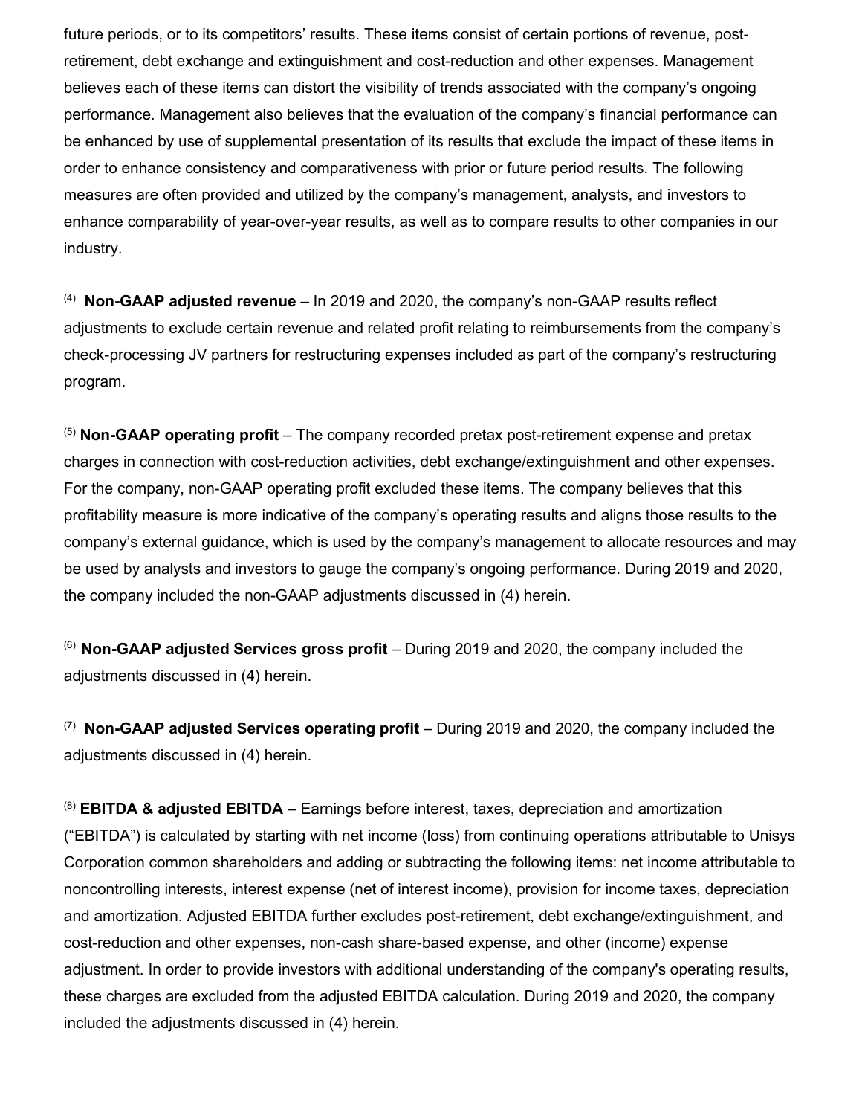future periods, or to its competitors' results. These items consist of certain portions of revenue, postretirement, debt exchange and extinguishment and cost-reduction and other expenses. Management believes each of these items can distort the visibility of trends associated with the company's ongoing performance. Management also believes that the evaluation of the company's financial performance can be enhanced by use of supplemental presentation of its results that exclude the impact of these items in order to enhance consistency and comparativeness with prior or future period results. The following measures are often provided and utilized by the company's management, analysts, and investors to enhance comparability of year-over-year results, as well as to compare results to other companies in our industry.

<sup>(4)</sup> Non-GAAP adjusted revenue – In 2019 and 2020, the company's non-GAAP results reflect adjustments to exclude certain revenue and related profit relating to reimbursements from the company's check-processing JV partners for restructuring expenses included as part of the company's restructuring program.

(5) **Non-GAAP operating profit** – The company recorded pretax post-retirement expense and pretax charges in connection with cost-reduction activities, debt exchange/extinguishment and other expenses. For the company, non-GAAP operating profit excluded these items. The company believes that this profitability measure is more indicative of the company's operating results and aligns those results to the company's external guidance, which is used by the company's management to allocate resources and may be used by analysts and investors to gauge the company's ongoing performance. During 2019 and 2020, the company included the non-GAAP adjustments discussed in (4) herein.

(6) **Non-GAAP adjusted Services gross profit** – During 2019 and 2020, the company included the adjustments discussed in (4) herein.

(7) **Non-GAAP adjusted Services operating profit** – During 2019 and 2020, the company included the adjustments discussed in (4) herein.

(8) **EBITDA & adjusted EBITDA** – Earnings before interest, taxes, depreciation and amortization ("EBITDA") is calculated by starting with net income (loss) from continuing operations attributable to Unisys Corporation common shareholders and adding or subtracting the following items: net income attributable to noncontrolling interests, interest expense (net of interest income), provision for income taxes, depreciation and amortization. Adjusted EBITDA further excludes post-retirement, debt exchange/extinguishment, and cost-reduction and other expenses, non-cash share-based expense, and other (income) expense adjustment. In order to provide investors with additional understanding of the company's operating results, these charges are excluded from the adjusted EBITDA calculation. During 2019 and 2020, the company included the adjustments discussed in (4) herein.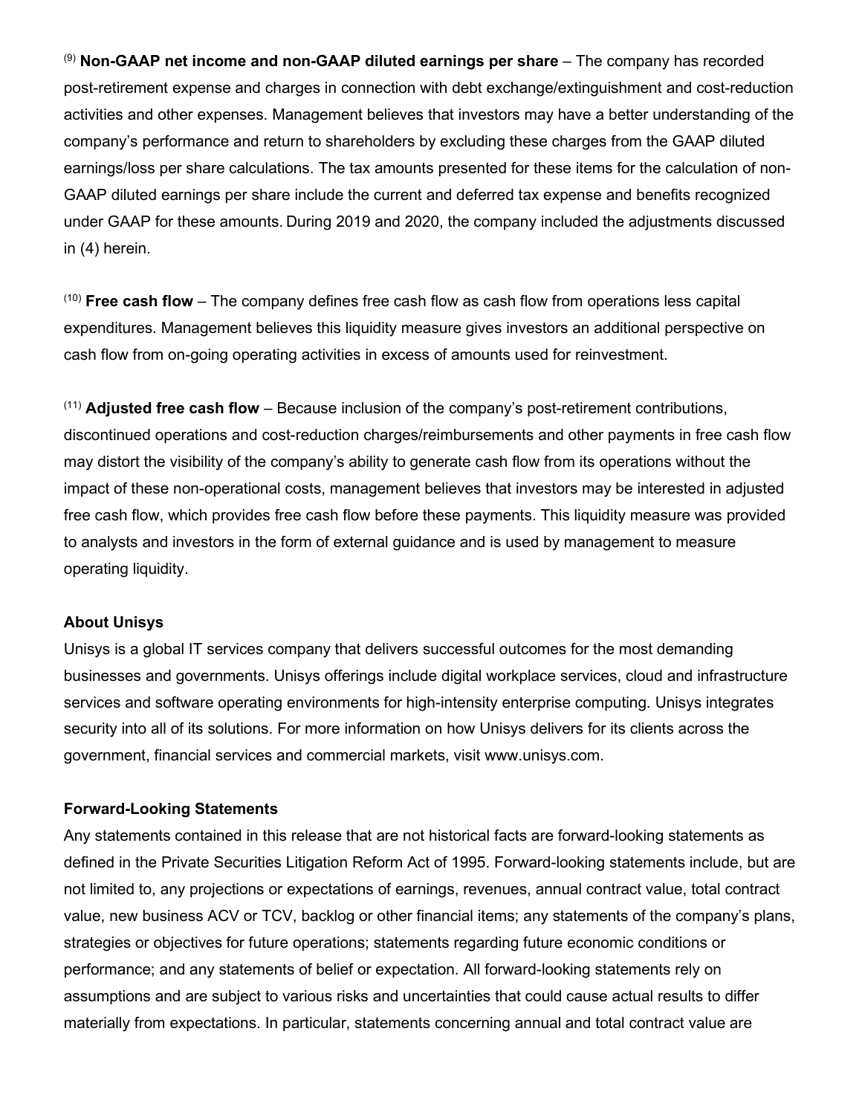(9) **Non-GAAP net income and non-GAAP diluted earnings per share** – The company has recorded post-retirement expense and charges in connection with debt exchange/extinguishment and cost-reduction activities and other expenses. Management believes that investors may have a better understanding of the company's performance and return to shareholders by excluding these charges from the GAAP diluted earnings/loss per share calculations. The tax amounts presented for these items for the calculation of non-GAAP diluted earnings per share include the current and deferred tax expense and benefits recognized under GAAP for these amounts. During 2019 and 2020, the company included the adjustments discussed in (4) herein.

(10) **Free cash flow** – The company defines free cash flow as cash flow from operations less capital expenditures. Management believes this liquidity measure gives investors an additional perspective on cash flow from on-going operating activities in excess of amounts used for reinvestment.

(11) **Adjusted free cash flow** – Because inclusion of the company's post-retirement contributions, discontinued operations and cost-reduction charges/reimbursements and other payments in free cash flow may distort the visibility of the company's ability to generate cash flow from its operations without the impact of these non-operational costs, management believes that investors may be interested in adjusted free cash flow, which provides free cash flow before these payments. This liquidity measure was provided to analysts and investors in the form of external guidance and is used by management to measure operating liquidity.

## **About Unisys**

Unisys is a global IT services company that delivers successful outcomes for the most demanding businesses and governments. Unisys offerings include digital workplace services, cloud and infrastructure services and software operating environments for high-intensity enterprise computing. Unisys integrates security into all of its solutions. For more information on how Unisys delivers for its clients across the government, financial services and commercial markets, visit www.unisys.com.

#### **Forward-Looking Statements**

Any statements contained in this release that are not historical facts are forward-looking statements as defined in the Private Securities Litigation Reform Act of 1995. Forward-looking statements include, but are not limited to, any projections or expectations of earnings, revenues, annual contract value, total contract value, new business ACV or TCV, backlog or other financial items; any statements of the company's plans, strategies or objectives for future operations; statements regarding future economic conditions or performance; and any statements of belief or expectation. All forward-looking statements rely on assumptions and are subject to various risks and uncertainties that could cause actual results to differ materially from expectations. In particular, statements concerning annual and total contract value are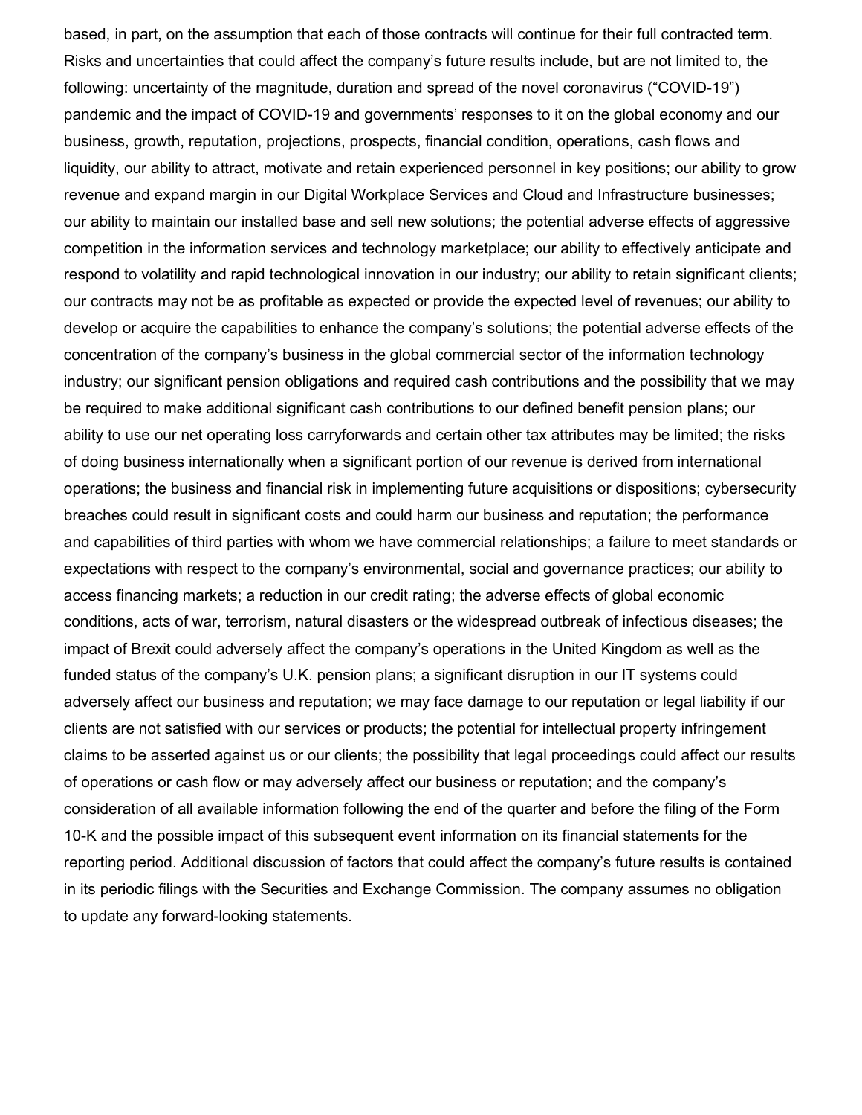based, in part, on the assumption that each of those contracts will continue for their full contracted term. Risks and uncertainties that could affect the company's future results include, but are not limited to, the following: uncertainty of the magnitude, duration and spread of the novel coronavirus ("COVID-19") pandemic and the impact of COVID-19 and governments' responses to it on the global economy and our business, growth, reputation, projections, prospects, financial condition, operations, cash flows and liquidity, our ability to attract, motivate and retain experienced personnel in key positions; our ability to grow revenue and expand margin in our Digital Workplace Services and Cloud and Infrastructure businesses; our ability to maintain our installed base and sell new solutions; the potential adverse effects of aggressive competition in the information services and technology marketplace; our ability to effectively anticipate and respond to volatility and rapid technological innovation in our industry; our ability to retain significant clients; our contracts may not be as profitable as expected or provide the expected level of revenues; our ability to develop or acquire the capabilities to enhance the company's solutions; the potential adverse effects of the concentration of the company's business in the global commercial sector of the information technology industry; our significant pension obligations and required cash contributions and the possibility that we may be required to make additional significant cash contributions to our defined benefit pension plans; our ability to use our net operating loss carryforwards and certain other tax attributes may be limited; the risks of doing business internationally when a significant portion of our revenue is derived from international operations; the business and financial risk in implementing future acquisitions or dispositions; cybersecurity breaches could result in significant costs and could harm our business and reputation; the performance and capabilities of third parties with whom we have commercial relationships; a failure to meet standards or expectations with respect to the company's environmental, social and governance practices; our ability to access financing markets; a reduction in our credit rating; the adverse effects of global economic conditions, acts of war, terrorism, natural disasters or the widespread outbreak of infectious diseases; the impact of Brexit could adversely affect the company's operations in the United Kingdom as well as the funded status of the company's U.K. pension plans; a significant disruption in our IT systems could adversely affect our business and reputation; we may face damage to our reputation or legal liability if our clients are not satisfied with our services or products; the potential for intellectual property infringement claims to be asserted against us or our clients; the possibility that legal proceedings could affect our results of operations or cash flow or may adversely affect our business or reputation; and the company's consideration of all available information following the end of the quarter and before the filing of the Form 10-K and the possible impact of this subsequent event information on its financial statements for the reporting period. Additional discussion of factors that could affect the company's future results is contained in its periodic filings with the Securities and Exchange Commission. The company assumes no obligation to update any forward-looking statements.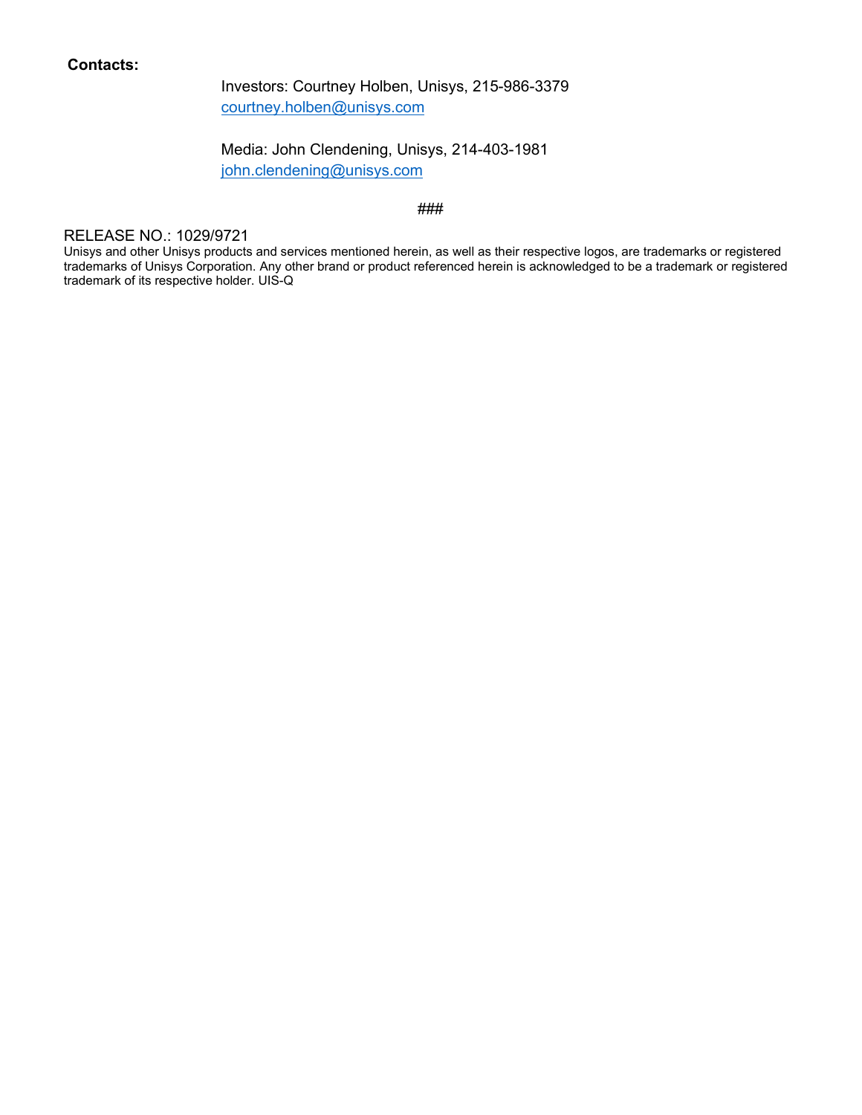## **Contacts:**

Investors: Courtney Holben, Unisys, 215-986-3379 [courtney.holben@unisys.com](mailto:courtney.holben@unisys.com)

Media: John Clendening, Unisys, 214-403-1981

[john.clendening@unisys.com](mailto:john.clendening@unisys.com)

#### ###

#### RELEASE NO.: 1029/9721

Unisys and other Unisys products and services mentioned herein, as well as their respective logos, are trademarks or registered trademarks of Unisys Corporation. Any other brand or product referenced herein is acknowledged to be a trademark or registered trademark of its respective holder. UIS-Q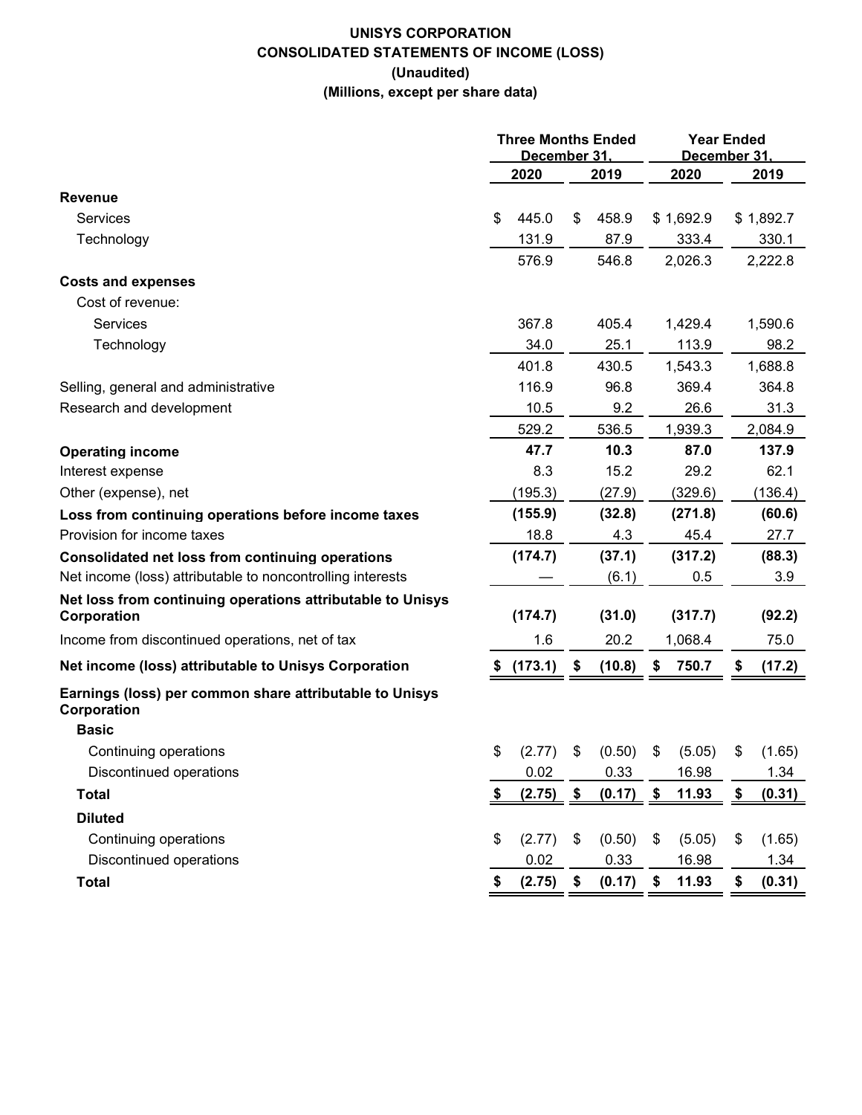## **UNISYS CORPORATION CONSOLIDATED STATEMENTS OF INCOME (LOSS) (Unaudited) (Millions, except per share data)**

|                                                                           | <b>Three Months Ended</b><br>December 31. |         |    |        |    | <b>Year Ended</b><br>December 31 |    |           |  |
|---------------------------------------------------------------------------|-------------------------------------------|---------|----|--------|----|----------------------------------|----|-----------|--|
|                                                                           |                                           | 2020    |    | 2019   |    | 2020                             |    | 2019      |  |
| Revenue                                                                   |                                           |         |    |        |    |                                  |    |           |  |
| Services                                                                  | S                                         | 445.0   | \$ | 458.9  |    | \$1,692.9                        |    | \$1,892.7 |  |
| Technology                                                                |                                           | 131.9   |    | 87.9   |    | 333.4                            |    | 330.1     |  |
|                                                                           |                                           | 576.9   |    | 546.8  |    | 2,026.3                          |    | 2,222.8   |  |
| <b>Costs and expenses</b>                                                 |                                           |         |    |        |    |                                  |    |           |  |
| Cost of revenue:                                                          |                                           |         |    |        |    |                                  |    |           |  |
| Services                                                                  |                                           | 367.8   |    | 405.4  |    | 1,429.4                          |    | 1,590.6   |  |
| Technology                                                                |                                           | 34.0    |    | 25.1   |    | 113.9                            |    | 98.2      |  |
|                                                                           |                                           | 401.8   |    | 430.5  |    | 1,543.3                          |    | 1,688.8   |  |
| Selling, general and administrative                                       |                                           | 116.9   |    | 96.8   |    | 369.4                            |    | 364.8     |  |
| Research and development                                                  |                                           | 10.5    |    | 9.2    |    | 26.6                             |    | 31.3      |  |
|                                                                           |                                           | 529.2   |    | 536.5  |    | 1,939.3                          |    | 2,084.9   |  |
| <b>Operating income</b>                                                   |                                           | 47.7    |    | 10.3   |    | 87.0                             |    | 137.9     |  |
| Interest expense                                                          |                                           | 8.3     |    | 15.2   |    | 29.2                             |    | 62.1      |  |
| Other (expense), net                                                      |                                           | (195.3) |    | (27.9) |    | (329.6)                          |    | (136.4)   |  |
| Loss from continuing operations before income taxes                       |                                           | (155.9) |    | (32.8) |    | (271.8)                          |    | (60.6)    |  |
| Provision for income taxes                                                |                                           | 18.8    |    | 4.3    |    | 45.4                             |    | 27.7      |  |
| Consolidated net loss from continuing operations                          |                                           | (174.7) |    | (37.1) |    | (317.2)                          |    | (88.3)    |  |
| Net income (loss) attributable to noncontrolling interests                |                                           |         |    | (6.1)  |    | 0.5                              |    | 3.9       |  |
| Net loss from continuing operations attributable to Unisys<br>Corporation |                                           | (174.7) |    | (31.0) |    | (317.7)                          |    | (92.2)    |  |
| Income from discontinued operations, net of tax                           |                                           | 1.6     |    | 20.2   |    | 1,068.4                          |    | 75.0      |  |
| Net income (loss) attributable to Unisys Corporation                      |                                           | (173.1) | \$ | (10.8) | \$ | 750.7                            | \$ | (17.2)    |  |
| Earnings (loss) per common share attributable to Unisys<br>Corporation    |                                           |         |    |        |    |                                  |    |           |  |
| <b>Basic</b>                                                              |                                           |         |    |        |    |                                  |    |           |  |
| Continuing operations                                                     | \$                                        | (2.77)  | \$ | (0.50) | \$ | (5.05)                           | \$ | (1.65)    |  |
| Discontinued operations                                                   |                                           | 0.02    |    | 0.33   |    | 16.98                            |    | 1.34      |  |
| <b>Total</b>                                                              | \$                                        | (2.75)  | \$ | (0.17) | \$ | 11.93                            | \$ | (0.31)    |  |
| <b>Diluted</b>                                                            |                                           |         |    |        |    |                                  |    |           |  |
| Continuing operations                                                     | \$                                        | (2.77)  | \$ | (0.50) | \$ | (5.05)                           | \$ | (1.65)    |  |
| Discontinued operations                                                   |                                           | 0.02    |    | 0.33   |    | 16.98                            |    | 1.34      |  |
| <b>Total</b>                                                              | \$                                        | (2.75)  | \$ | (0.17) | \$ | 11.93                            | \$ | (0.31)    |  |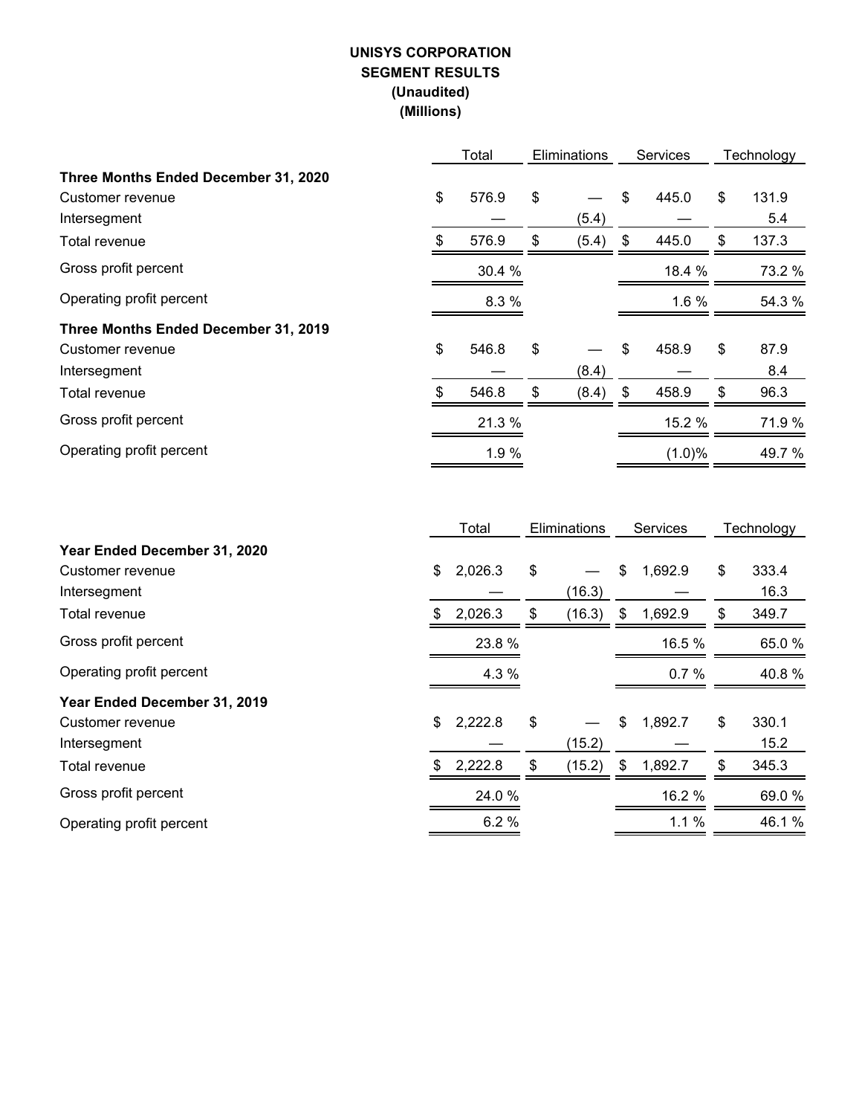## **UNISYS CORPORATION SEGMENT RESULTS (Unaudited) (Millions)**

|                                      |     | Total  |    | <b>Eliminations</b> | <b>Services</b> | Technology  |
|--------------------------------------|-----|--------|----|---------------------|-----------------|-------------|
| Three Months Ended December 31, 2020 |     |        |    |                     |                 |             |
| Customer revenue                     | \$  | 576.9  | \$ |                     | \$<br>445.0     | \$<br>131.9 |
| Intersegment                         |     |        |    | (5.4)               |                 | 5.4         |
| Total revenue                        | \$  | 576.9  | \$ | (5.4)               | \$<br>445.0     | \$<br>137.3 |
| Gross profit percent                 |     | 30.4 % |    |                     | 18.4 %          | 73.2 %      |
| Operating profit percent             |     | 8.3 %  |    |                     | 1.6 %           | 54.3 %      |
| Three Months Ended December 31, 2019 |     |        |    |                     |                 |             |
| Customer revenue                     | \$  | 546.8  | \$ |                     | \$<br>458.9     | \$<br>87.9  |
| Intersegment                         |     |        |    | (8.4)               |                 | 8.4         |
| Total revenue                        | \$. | 546.8  | \$ | (8.4)               | \$<br>458.9     | \$<br>96.3  |
| Gross profit percent                 |     | 21.3 % |    |                     | 15.2 %          | 71.9%       |
| Operating profit percent             |     | 1.9 %  |    |                     | (1.0)%          | 49.7%       |

|                              |    | Total   | <b>Eliminations</b> |        | Services      | Technology  |
|------------------------------|----|---------|---------------------|--------|---------------|-------------|
| Year Ended December 31, 2020 |    |         |                     |        |               |             |
| Customer revenue             | \$ | 2,026.3 | \$                  |        | \$<br>1,692.9 | \$<br>333.4 |
| Intersegment                 |    |         |                     | (16.3) |               | 16.3        |
| Total revenue                | S  | 2,026.3 | \$                  | (16.3) | \$<br>1,692.9 | \$<br>349.7 |
| Gross profit percent         |    | 23.8%   |                     |        | 16.5 %        | 65.0 %      |
| Operating profit percent     |    | 4.3 %   |                     |        | 0.7%          | 40.8%       |
| Year Ended December 31, 2019 |    |         |                     |        |               |             |
| Customer revenue             | \$ | 2,222.8 | \$                  |        | \$<br>1,892.7 | \$<br>330.1 |
| Intersegment                 |    |         |                     | (15.2) |               | 15.2        |
| Total revenue                | S  | 2,222.8 | \$                  | (15.2) | \$<br>1,892.7 | \$<br>345.3 |
| Gross profit percent         |    | 24.0%   |                     |        | 16.2 %        | 69.0%       |
| Operating profit percent     |    | 6.2%    |                     |        | 1.1%          | 46.1%       |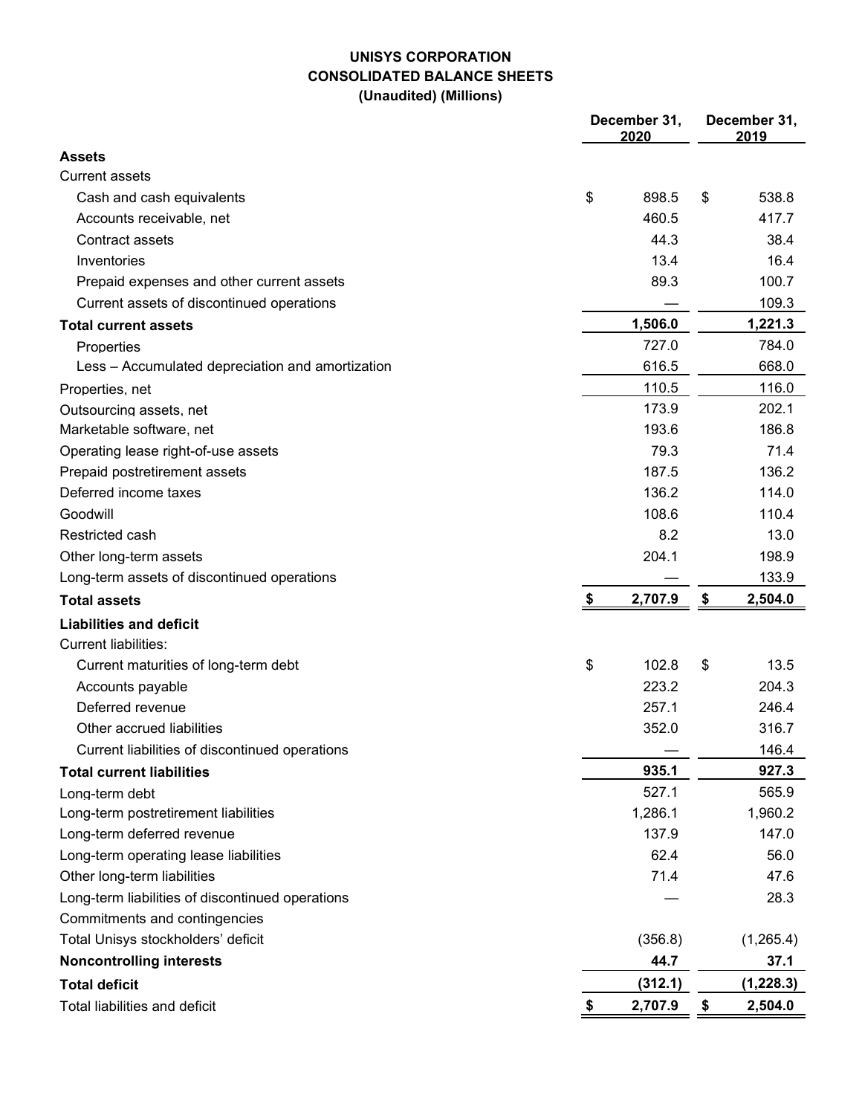## **UNISYS CORPORATION CONSOLIDATED BALANCE SHEETS (Unaudited) (Millions)**

|                                                  | December 31,<br>2020 | December 31,<br>2019      |            |  |  |  |
|--------------------------------------------------|----------------------|---------------------------|------------|--|--|--|
| <b>Assets</b>                                    |                      |                           |            |  |  |  |
| <b>Current assets</b>                            |                      |                           |            |  |  |  |
| Cash and cash equivalents                        | \$<br>898.5          | \$                        | 538.8      |  |  |  |
| Accounts receivable, net                         | 460.5                |                           | 417.7      |  |  |  |
| Contract assets                                  | 44.3                 |                           | 38.4       |  |  |  |
| Inventories                                      | 13.4                 |                           | 16.4       |  |  |  |
| Prepaid expenses and other current assets        | 89.3                 |                           | 100.7      |  |  |  |
| Current assets of discontinued operations        |                      |                           | 109.3      |  |  |  |
| <b>Total current assets</b>                      | 1,506.0              |                           | 1,221.3    |  |  |  |
| Properties                                       | 727.0                |                           | 784.0      |  |  |  |
| Less - Accumulated depreciation and amortization | 616.5                |                           | 668.0      |  |  |  |
| Properties, net                                  | 110.5                |                           | 116.0      |  |  |  |
| Outsourcing assets, net                          | 173.9                |                           | 202.1      |  |  |  |
| Marketable software, net                         | 193.6                |                           | 186.8      |  |  |  |
| Operating lease right-of-use assets              | 79.3                 |                           | 71.4       |  |  |  |
| Prepaid postretirement assets                    | 187.5                |                           | 136.2      |  |  |  |
| Deferred income taxes                            | 136.2                |                           | 114.0      |  |  |  |
| Goodwill                                         | 108.6                |                           | 110.4      |  |  |  |
| Restricted cash                                  | 8.2                  |                           | 13.0       |  |  |  |
| Other long-term assets                           | 204.1                |                           | 198.9      |  |  |  |
| Long-term assets of discontinued operations      |                      |                           | 133.9      |  |  |  |
| <b>Total assets</b>                              | \$<br>2,707.9        | $\boldsymbol{\mathsf{s}}$ | 2,504.0    |  |  |  |
| <b>Liabilities and deficit</b>                   |                      |                           |            |  |  |  |
| <b>Current liabilities:</b>                      |                      |                           |            |  |  |  |
| Current maturities of long-term debt             | \$<br>102.8          | \$                        | 13.5       |  |  |  |
| Accounts payable                                 | 223.2                |                           | 204.3      |  |  |  |
| Deferred revenue                                 | 257.1                |                           | 246.4      |  |  |  |
| Other accrued liabilities                        | 352.0                |                           | 316.7      |  |  |  |
| Current liabilities of discontinued operations   |                      |                           | 146.4      |  |  |  |
| <b>Total current liabilities</b>                 | 935.1                |                           | 927.3      |  |  |  |
| Long-term debt                                   | 527.1                |                           | 565.9      |  |  |  |
| Long-term postretirement liabilities             | 1,286.1              |                           | 1,960.2    |  |  |  |
| Long-term deferred revenue                       | 137.9                |                           | 147.0      |  |  |  |
| Long-term operating lease liabilities            | 62.4                 |                           | 56.0       |  |  |  |
| Other long-term liabilities                      | 71.4                 |                           | 47.6       |  |  |  |
| Long-term liabilities of discontinued operations |                      |                           | 28.3       |  |  |  |
| Commitments and contingencies                    |                      |                           |            |  |  |  |
| Total Unisys stockholders' deficit               | (356.8)              |                           | (1,265.4)  |  |  |  |
| <b>Noncontrolling interests</b>                  | 44.7                 |                           | 37.1       |  |  |  |
| <b>Total deficit</b>                             | (312.1)              |                           | (1, 228.3) |  |  |  |
| Total liabilities and deficit                    | \$<br>2,707.9        | \$                        | 2,504.0    |  |  |  |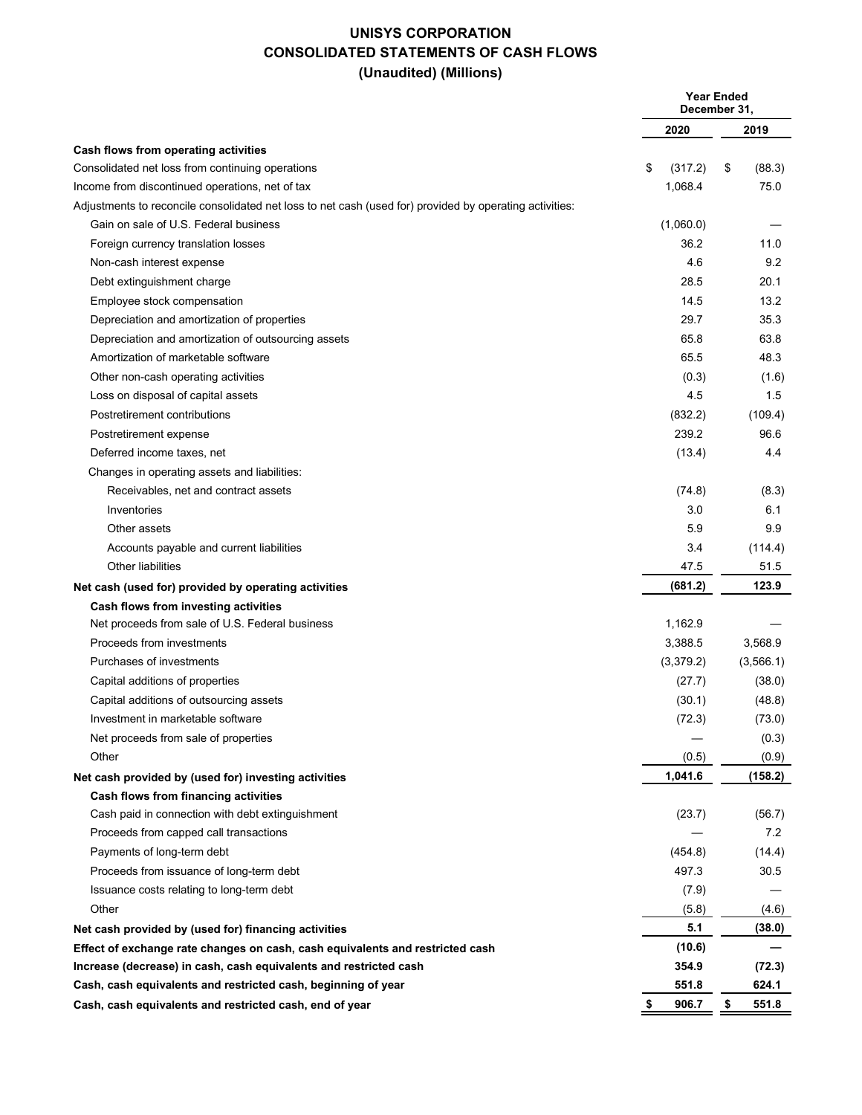## **UNISYS CORPORATION CONSOLIDATED STATEMENTS OF CASH FLOWS (Unaudited) (Millions)**

|                                                                                                         |               | <b>Year Ended</b><br>December 31, |
|---------------------------------------------------------------------------------------------------------|---------------|-----------------------------------|
|                                                                                                         | 2020          | 2019                              |
| Cash flows from operating activities                                                                    |               |                                   |
| Consolidated net loss from continuing operations                                                        | \$<br>(317.2) | \$<br>(88.3)                      |
| Income from discontinued operations, net of tax                                                         | 1,068.4       | 75.0                              |
| Adjustments to reconcile consolidated net loss to net cash (used for) provided by operating activities: |               |                                   |
| Gain on sale of U.S. Federal business                                                                   | (1,060.0)     |                                   |
| Foreign currency translation losses                                                                     | 36.2          | 11.0                              |
| Non-cash interest expense                                                                               | 4.6           | 9.2                               |
| Debt extinguishment charge                                                                              | 28.5          | 20.1                              |
| Employee stock compensation                                                                             | 14.5          | 13.2                              |
| Depreciation and amortization of properties                                                             | 29.7          | 35.3                              |
| Depreciation and amortization of outsourcing assets                                                     | 65.8          | 63.8                              |
| Amortization of marketable software                                                                     | 65.5          | 48.3                              |
| Other non-cash operating activities                                                                     | (0.3)         | (1.6)                             |
| Loss on disposal of capital assets                                                                      | 4.5           | 1.5                               |
| Postretirement contributions                                                                            | (832.2)       | (109.4)                           |
| Postretirement expense                                                                                  | 239.2         | 96.6                              |
| Deferred income taxes, net                                                                              | (13.4)        | 4.4                               |
| Changes in operating assets and liabilities:                                                            |               |                                   |
| Receivables, net and contract assets                                                                    | (74.8)        | (8.3)                             |
| Inventories                                                                                             | 3.0           | 6.1                               |
| Other assets                                                                                            | 5.9           | 9.9                               |
| Accounts payable and current liabilities                                                                | 3.4           | (114.4)                           |
| Other liabilities                                                                                       | 47.5          | 51.5                              |
| Net cash (used for) provided by operating activities                                                    | (681.2)       | 123.9                             |
| Cash flows from investing activities                                                                    |               |                                   |
| Net proceeds from sale of U.S. Federal business                                                         | 1,162.9       |                                   |
| Proceeds from investments                                                                               | 3,388.5       | 3,568.9                           |
| Purchases of investments                                                                                | (3,379.2)     | (3, 566.1)                        |
| Capital additions of properties                                                                         | (27.7)        | (38.0)                            |
| Capital additions of outsourcing assets                                                                 | (30.1)        | (48.8)                            |
| Investment in marketable software                                                                       | (72.3)        | (73.0)                            |
| Net proceeds from sale of properties                                                                    |               | (0.3)                             |
| Other                                                                                                   | (0.5)         | (0.9)                             |
| Net cash provided by (used for) investing activities                                                    | 1,041.6       | (158.2)                           |
| Cash flows from financing activities                                                                    |               |                                   |
| Cash paid in connection with debt extinguishment                                                        | (23.7)        | (56.7)                            |
| Proceeds from capped call transactions                                                                  |               | 7.2                               |
| Payments of long-term debt                                                                              | (454.8)       | (14.4)                            |
| Proceeds from issuance of long-term debt                                                                | 497.3         | 30.5                              |
| Issuance costs relating to long-term debt                                                               | (7.9)         |                                   |
| Other                                                                                                   | (5.8)         | (4.6)                             |
| Net cash provided by (used for) financing activities                                                    | 5.1           | (38.0)                            |
| Effect of exchange rate changes on cash, cash equivalents and restricted cash                           | (10.6)        |                                   |
| Increase (decrease) in cash, cash equivalents and restricted cash                                       | 354.9         | (72.3)                            |
| Cash, cash equivalents and restricted cash, beginning of year                                           | 551.8         | 624.1                             |
| Cash, cash equivalents and restricted cash, end of year                                                 | 906.7<br>\$   | \$<br>551.8                       |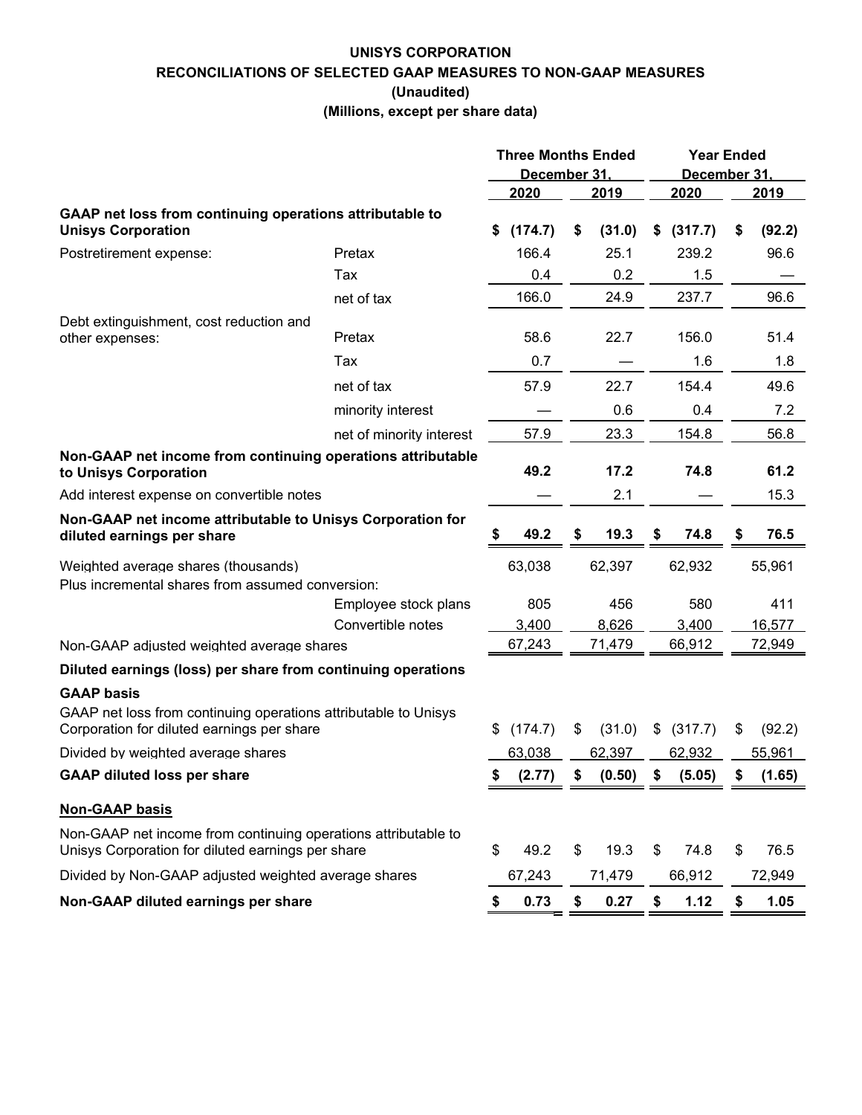## **UNISYS CORPORATION RECONCILIATIONS OF SELECTED GAAP MEASURES TO NON-GAAP MEASURES (Unaudited)**

**(Millions, except per share data)**

|                                                                                                                                    |                          | <b>Three Months Ended</b><br>December 31. |         |    |        |    | <b>Year Ended</b><br>December 31, |    |        |
|------------------------------------------------------------------------------------------------------------------------------------|--------------------------|-------------------------------------------|---------|----|--------|----|-----------------------------------|----|--------|
|                                                                                                                                    |                          |                                           | 2020    |    | 2019   |    | 2020                              |    | 2019   |
| GAAP net loss from continuing operations attributable to<br><b>Unisys Corporation</b>                                              |                          | S                                         | (174.7) | \$ | (31.0) | S. | (317.7)                           | \$ | (92.2) |
| Postretirement expense:                                                                                                            | Pretax                   |                                           | 166.4   |    | 25.1   |    | 239.2                             |    | 96.6   |
|                                                                                                                                    | Tax                      |                                           | 0.4     |    | 0.2    |    | 1.5                               |    |        |
|                                                                                                                                    | net of tax               |                                           | 166.0   |    | 24.9   |    | 237.7                             |    | 96.6   |
| Debt extinguishment, cost reduction and<br>other expenses:                                                                         | Pretax                   |                                           | 58.6    |    | 22.7   |    | 156.0                             |    | 51.4   |
|                                                                                                                                    | Tax                      |                                           | 0.7     |    |        |    | 1.6                               |    | 1.8    |
|                                                                                                                                    | net of tax               |                                           | 57.9    |    | 22.7   |    | 154.4                             |    | 49.6   |
|                                                                                                                                    | minority interest        |                                           |         |    | 0.6    |    | 0.4                               |    | 7.2    |
|                                                                                                                                    | net of minority interest |                                           | 57.9    |    | 23.3   |    | 154.8                             |    | 56.8   |
| Non-GAAP net income from continuing operations attributable<br>to Unisys Corporation                                               |                          |                                           | 49.2    |    | 17.2   |    | 74.8                              |    | 61.2   |
| Add interest expense on convertible notes                                                                                          |                          |                                           |         |    | 2.1    |    |                                   |    | 15.3   |
| Non-GAAP net income attributable to Unisys Corporation for<br>diluted earnings per share                                           |                          |                                           | 49.2    |    | 19.3   | S  | 74.8                              | S  | 76.5   |
| Weighted average shares (thousands)<br>Plus incremental shares from assumed conversion:                                            |                          |                                           | 63.038  |    | 62.397 |    | 62.932                            |    | 55.961 |
|                                                                                                                                    | Employee stock plans     |                                           | 805     |    | 456    |    | 580                               |    | 411    |
|                                                                                                                                    | Convertible notes        |                                           | 3,400   |    | 8,626  |    | 3,400                             |    | 16,577 |
| Non-GAAP adjusted weighted average shares                                                                                          |                          |                                           | 67,243  |    | 71,479 |    | 66,912                            |    | 72,949 |
| Diluted earnings (loss) per share from continuing operations                                                                       |                          |                                           |         |    |        |    |                                   |    |        |
| <b>GAAP basis</b><br>GAAP net loss from continuing operations attributable to Unisys<br>Corporation for diluted earnings per share |                          | S                                         | (174.7) | \$ | (31.0) | \$ | (317.7)                           | \$ | (92.2) |
| Divided by weighted average shares                                                                                                 |                          |                                           | 63,038  |    | 62,397 |    | 62,932                            |    | 55,961 |
| <b>GAAP diluted loss per share</b>                                                                                                 |                          |                                           | (2.77)  | \$ | (0.50) | s. | (5.05)                            | \$ | (1.65) |
|                                                                                                                                    |                          |                                           |         |    |        |    |                                   |    |        |
| <b>Non-GAAP basis</b>                                                                                                              |                          |                                           |         |    |        |    |                                   |    |        |
| Non-GAAP net income from continuing operations attributable to<br>Unisys Corporation for diluted earnings per share                |                          | \$                                        | 49.2    | \$ | 19.3   | \$ | 74.8                              | \$ | 76.5   |
| Divided by Non-GAAP adjusted weighted average shares                                                                               |                          |                                           | 67,243  |    | 71,479 |    | 66,912                            |    | 72,949 |
| Non-GAAP diluted earnings per share                                                                                                |                          | \$                                        | 0.73    | \$ | 0.27   | \$ | 1.12                              | \$ | 1.05   |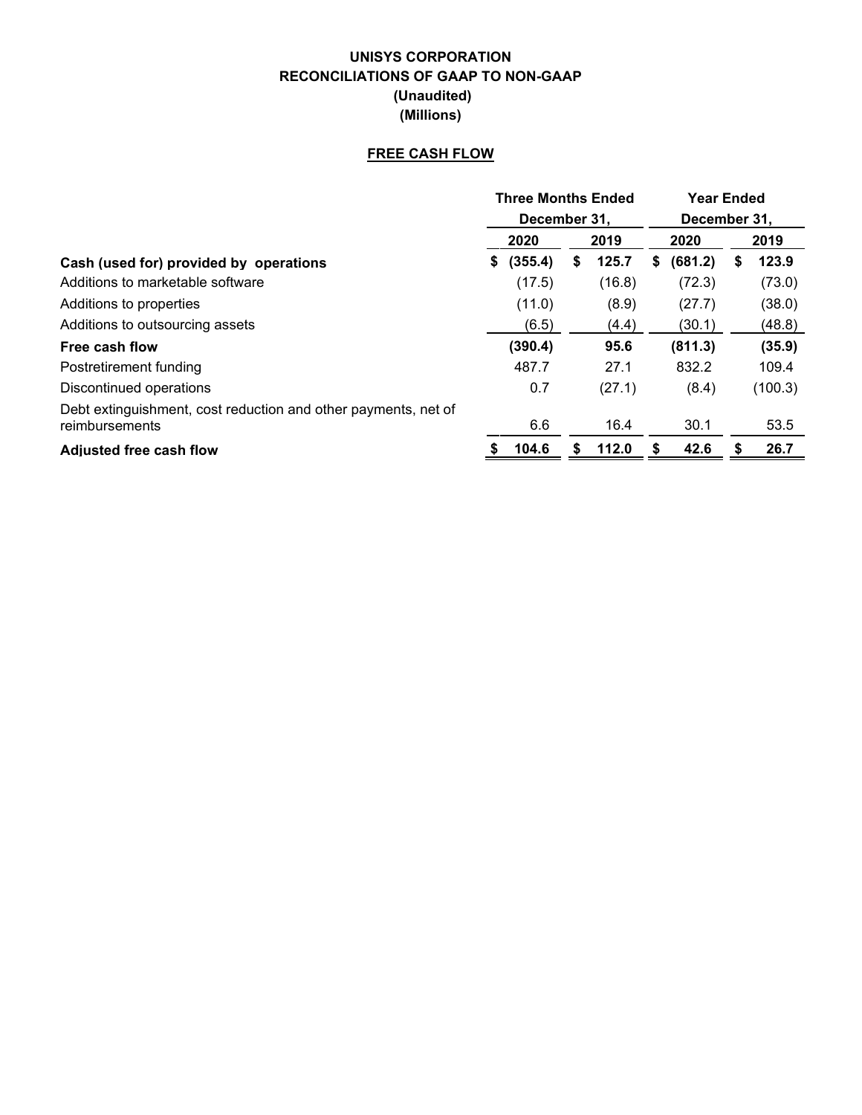## **UNISYS CORPORATION RECONCILIATIONS OF GAAP TO NON-GAAP (Unaudited) (Millions)**

## **FREE CASH FLOW**

|                                                                                  |               | <b>Three Months Ended</b> | <b>Year Ended</b> |    |         |  |  |
|----------------------------------------------------------------------------------|---------------|---------------------------|-------------------|----|---------|--|--|
|                                                                                  |               | December 31.              | December 31.      |    |         |  |  |
|                                                                                  | 2020          | 2019                      | 2020              |    | 2019    |  |  |
| Cash (used for) provided by operations                                           | (355.4)<br>S. | 125.7<br>\$               | (681.2)<br>S.     | S  | 123.9   |  |  |
| Additions to marketable software                                                 | (17.5)        | (16.8)                    | (72.3)            |    | (73.0)  |  |  |
| Additions to properties                                                          | (11.0)        | (8.9)                     | (27.7)            |    | (38.0)  |  |  |
| Additions to outsourcing assets                                                  | (6.5)         | (4.4)                     | (30.1)            |    | (48.8)  |  |  |
| Free cash flow                                                                   | (390.4)       | 95.6                      | (811.3)           |    | (35.9)  |  |  |
| Postretirement funding                                                           | 487.7         | 27.1                      | 832.2             |    | 109.4   |  |  |
| Discontinued operations                                                          | 0.7           | (27.1)                    | (8.4)             |    | (100.3) |  |  |
| Debt extinguishment, cost reduction and other payments, net of<br>reimbursements | 6.6           | 16.4                      | 30.1              |    | 53.5    |  |  |
| <b>Adjusted free cash flow</b>                                                   | 104.6         | 112.0<br>S                | 42.6              | \$ | 26.7    |  |  |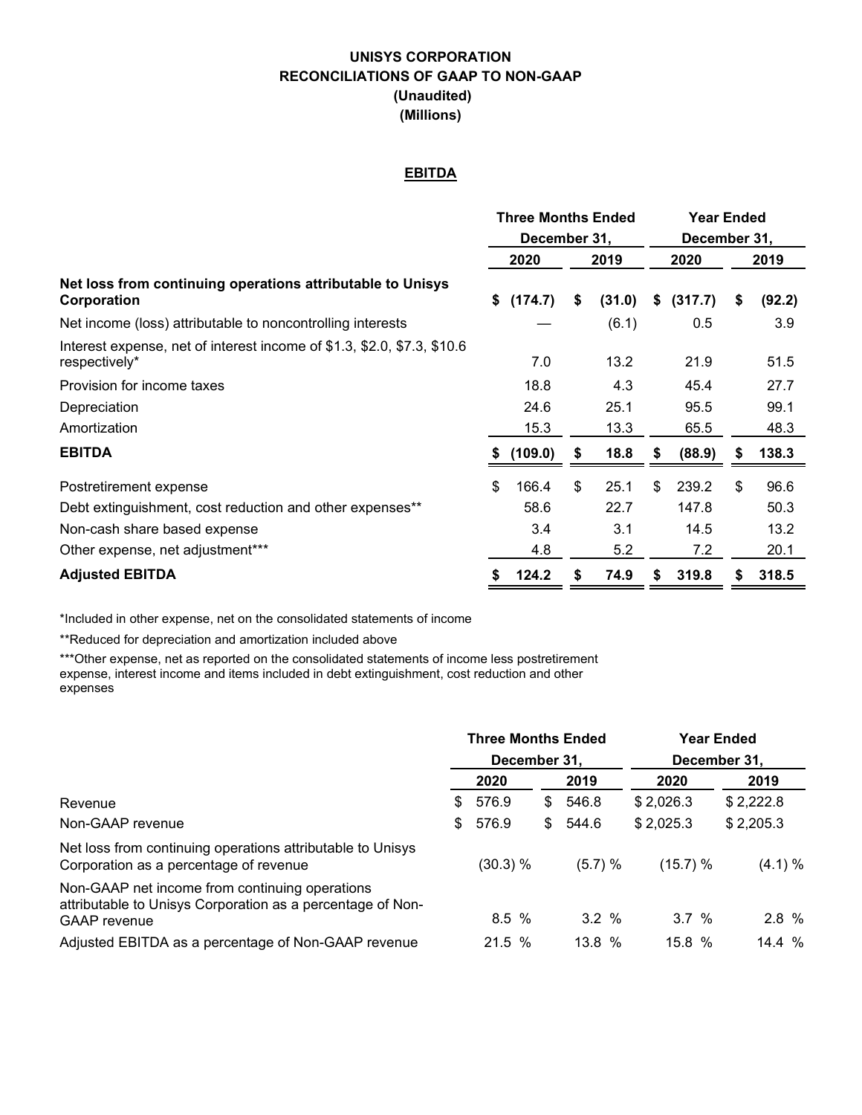## **UNISYS CORPORATION RECONCILIATIONS OF GAAP TO NON-GAAP (Unaudited) (Millions)**

## **EBITDA**

|                                                                                          |      | <b>Three Months Ended</b> |      |        | <b>Year Ended</b> |         |    |        |  |  |
|------------------------------------------------------------------------------------------|------|---------------------------|------|--------|-------------------|---------|----|--------|--|--|
|                                                                                          |      | December 31,              |      |        | December 31,      |         |    |        |  |  |
|                                                                                          | 2020 |                           | 2019 |        | 2020              |         |    | 2019   |  |  |
| Net loss from continuing operations attributable to Unisys<br>Corporation                |      | (174.7)                   | \$   | (31.0) | S                 | (317.7) | \$ | (92.2) |  |  |
| Net income (loss) attributable to noncontrolling interests                               |      |                           |      | (6.1)  |                   | 0.5     |    | 3.9    |  |  |
| Interest expense, net of interest income of \$1.3, \$2.0, \$7.3, \$10.6<br>respectively* |      | 7.0                       |      | 13.2   |                   | 21.9    |    | 51.5   |  |  |
| Provision for income taxes                                                               |      | 18.8                      |      | 4.3    |                   | 45.4    |    | 27.7   |  |  |
| Depreciation                                                                             |      | 24.6                      |      | 25.1   |                   | 95.5    |    | 99.1   |  |  |
| Amortization                                                                             |      | 15.3                      |      | 13.3   |                   | 65.5    |    | 48.3   |  |  |
| <b>EBITDA</b>                                                                            |      | (109.0)                   | \$   | 18.8   | 5                 | (88.9)  | S  | 138.3  |  |  |
| Postretirement expense                                                                   | \$   | 166.4                     | \$   | 25.1   | \$                | 239.2   | \$ | 96.6   |  |  |
| Debt extinguishment, cost reduction and other expenses**                                 |      | 58.6                      |      | 22.7   |                   | 147.8   |    | 50.3   |  |  |
| Non-cash share based expense                                                             |      | 3.4                       |      | 3.1    |                   | 14.5    |    | 13.2   |  |  |
| Other expense, net adjustment***                                                         |      | 4.8                       |      | 5.2    |                   | 7.2     |    | 20.1   |  |  |
| <b>Adjusted EBITDA</b>                                                                   |      | 124.2                     | \$   | 74.9   | \$                | 319.8   | \$ | 318.5  |  |  |

\*Included in other expense, net on the consolidated statements of income

\*\*Reduced for depreciation and amortization included above

\*\*\*Other expense, net as reported on the consolidated statements of income less postretirement expense, interest income and items included in debt extinguishment, cost reduction and other expenses

|                                                                                                                                     |    | <b>Three Months Ended</b><br>December 31. |    |         | <b>Year Ended</b><br>December 31. |           |
|-------------------------------------------------------------------------------------------------------------------------------------|----|-------------------------------------------|----|---------|-----------------------------------|-----------|
|                                                                                                                                     |    | 2020                                      |    | 2019    | 2020                              | 2019      |
| Revenue                                                                                                                             | \$ | 576.9                                     | \$ | 546.8   | \$2,026.3                         | \$2,222.8 |
| Non-GAAP revenue                                                                                                                    | \$ | 576.9                                     | S. | 544.6   | \$2,025.3                         | \$2,205.3 |
| Net loss from continuing operations attributable to Unisys<br>Corporation as a percentage of revenue                                |    | (30.3) %                                  |    | (5.7) % | (15.7) %                          | (4.1) %   |
| Non-GAAP net income from continuing operations<br>attributable to Unisys Corporation as a percentage of Non-<br><b>GAAP</b> revenue |    | 8.5%                                      |    | 3.2%    | 3.7%                              | 2.8 %     |
| Adjusted EBITDA as a percentage of Non-GAAP revenue                                                                                 |    | 21.5%                                     |    | 13.8%   | 15.8%                             | 14.4%     |